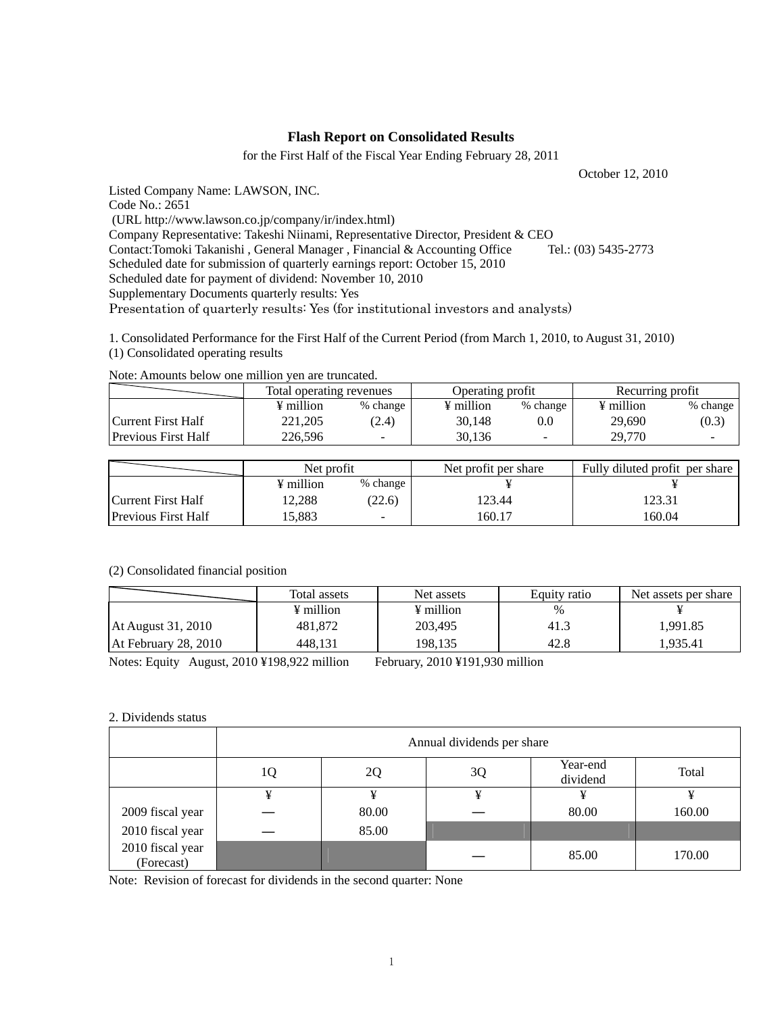### **Flash Report on Consolidated Results**

for the First Half of the Fiscal Year Ending February 28, 2011

October 12, 2010

Listed Company Name: LAWSON, INC. Code No.: 2651 (URL http://www.lawson.co.jp/company/ir/index.html)

Company Representative: Takeshi Niinami, Representative Director, President & CEO

Contact:Tomoki Takanishi , General Manager , Financial & Accounting Office Tel.: (03) 5435-2773

Scheduled date for submission of quarterly earnings report: October 15, 2010

Scheduled date for payment of dividend: November 10, 2010

Supplementary Documents quarterly results: Yes

Presentation of quarterly results: Yes (for institutional investors and analysts)

1. Consolidated Performance for the First Half of the Current Period (from March 1, 2010, to August 31, 2010) (1) Consolidated operating results

Note: Amounts below one million yen are truncated.

|                            | Total operating revenues |                          | Operating profit      |          | Recurring profit      |          |
|----------------------------|--------------------------|--------------------------|-----------------------|----------|-----------------------|----------|
|                            | ¥ million                | % change                 | $\frac{1}{2}$ million | % change | $\frac{1}{2}$ million | % change |
| Current First Half         | 221.205                  | (2.4)                    | 30.148                | 0.0      | 29,690                | (0.3)    |
| <b>Previous First Half</b> | 226.596                  | $\overline{\phantom{a}}$ | 30.136                |          | 29,770                | -        |

|                            | Net profit |                          | Net profit per share | Fully diluted profit per share |  |
|----------------------------|------------|--------------------------|----------------------|--------------------------------|--|
|                            | ¥ million  | % change                 |                      |                                |  |
| Current First Half         | 12.288     | (22.6)                   | 123.44               | 123.31                         |  |
| <b>Previous First Half</b> | 15.883     | $\overline{\phantom{0}}$ | 160.17               | 160.04                         |  |

#### (2) Consolidated financial position

|                      | Total assets          | Net assets            | Equity ratio | Net assets per share |
|----------------------|-----------------------|-----------------------|--------------|----------------------|
|                      | $\frac{1}{2}$ million | $\frac{1}{2}$ million | %            |                      |
| At August 31, 2010   | 481,872               | 203,495               | 41.3         | 1,991.85             |
| At February 28, 2010 | 448.131               | 198,135               | 42.8         | 1,935.41             |

Notes: Equity August, 2010 ¥198,922 million February, 2010 ¥191,930 million

#### 2. Dividends status

|                                | Annual dividends per share |       |    |                      |        |  |  |
|--------------------------------|----------------------------|-------|----|----------------------|--------|--|--|
|                                | 10                         | 2Q    | 3Q | Year-end<br>dividend | Total  |  |  |
|                                | ¥                          | ¥     | ¥  | ¥                    | ¥      |  |  |
| 2009 fiscal year               |                            | 80.00 |    | 80.00                | 160.00 |  |  |
| 2010 fiscal year               |                            | 85.00 |    |                      |        |  |  |
| 2010 fiscal year<br>(Forecast) |                            |       |    | 85.00                | 170.00 |  |  |

Note: Revision of forecast for dividends in the second quarter: None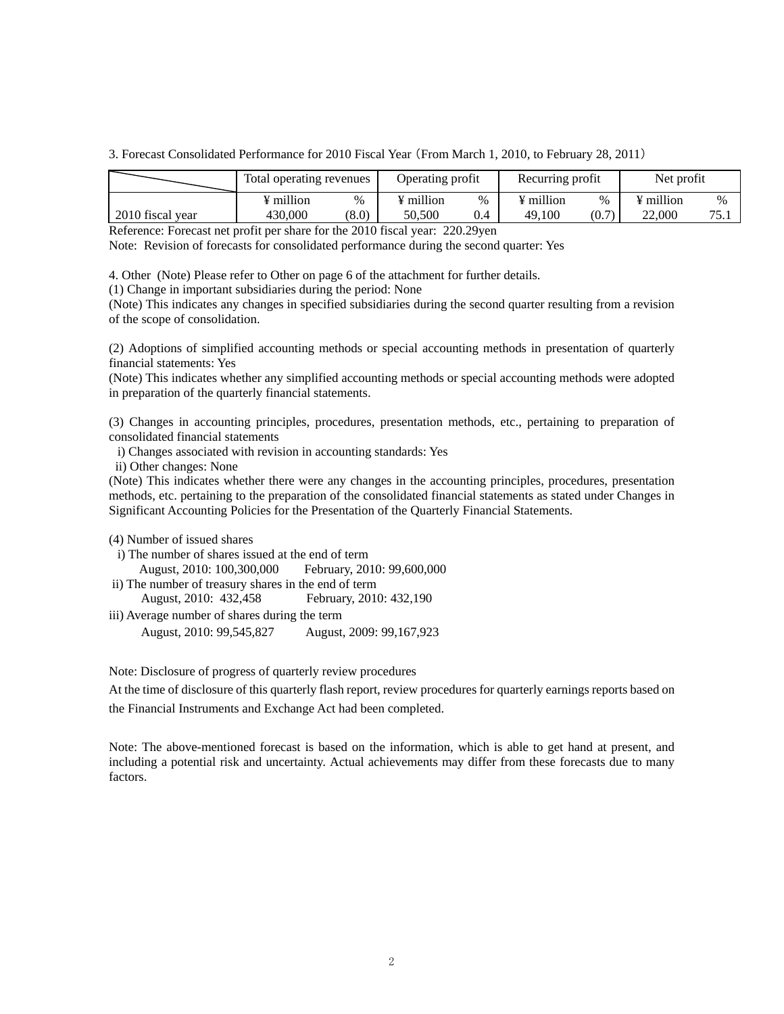3. Forecast Consolidated Performance for 2010 Fiscal Year (From March 1, 2010, to February 28, 2011)

|                  | Total operating revenues |       | Operating profit      |      | Recurring profit      |       | Net profit |           |
|------------------|--------------------------|-------|-----------------------|------|-----------------------|-------|------------|-----------|
|                  | ¥ million                | $\%$  | $\frac{1}{2}$ million | $\%$ | $\frac{1}{2}$ million | $\%$  | ¥ million  | $\%$      |
| 2010 fiscal year | 430,000                  | (8.0) | 50.500                | 0.4  | 49.100                | (0.7) | 22.000     | 75<br>۰.۱ |

Reference: Forecast net profit per share for the 2010 fiscal year: 220.29yen

Note: Revision of forecasts for consolidated performance during the second quarter: Yes

4. Other (Note) Please refer to Other on page 6 of the attachment for further details.

(1) Change in important subsidiaries during the period: None

(Note) This indicates any changes in specified subsidiaries during the second quarter resulting from a revision of the scope of consolidation.

(2) Adoptions of simplified accounting methods or special accounting methods in presentation of quarterly financial statements: Yes

(Note) This indicates whether any simplified accounting methods or special accounting methods were adopted in preparation of the quarterly financial statements.

(3) Changes in accounting principles, procedures, presentation methods, etc., pertaining to preparation of consolidated financial statements

i) Changes associated with revision in accounting standards: Yes

ii) Other changes: None

(Note) This indicates whether there were any changes in the accounting principles, procedures, presentation methods, etc. pertaining to the preparation of the consolidated financial statements as stated under Changes in Significant Accounting Policies for the Presentation of the Quarterly Financial Statements.

(4) Number of issued shares

i) The number of shares issued at the end of term

August, 2010: 100,300,000 February, 2010: 99,600,000

ii) The number of treasury shares in the end of term

August, 2010: 432,458 February, 2010: 432,190

iii) Average number of shares during the term August, 2010: 99,545,827 August, 2009: 99,167,923

Note: Disclosure of progress of quarterly review procedures

At the time of disclosure of this quarterly flash report, review procedures for quarterly earnings reports based on the Financial Instruments and Exchange Act had been completed.

Note: The above-mentioned forecast is based on the information, which is able to get hand at present, and including a potential risk and uncertainty. Actual achievements may differ from these forecasts due to many factors.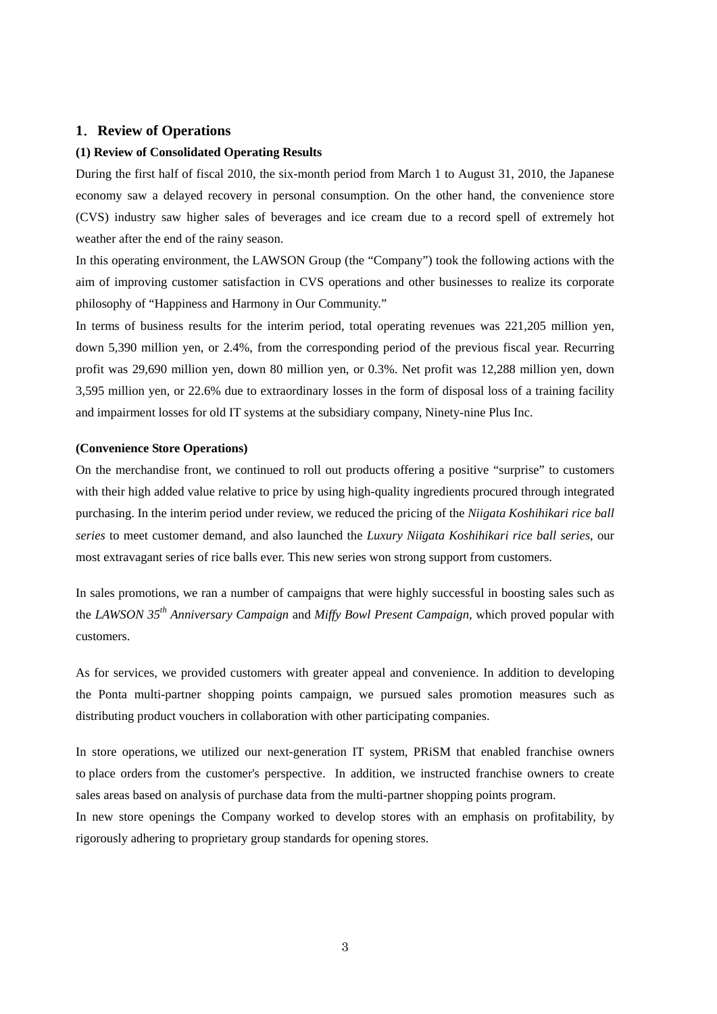### **1**.**Review of Operations**

#### **(1) Review of Consolidated Operating Results**

During the first half of fiscal 2010, the six-month period from March 1 to August 31, 2010, the Japanese economy saw a delayed recovery in personal consumption. On the other hand, the convenience store (CVS) industry saw higher sales of beverages and ice cream due to a record spell of extremely hot weather after the end of the rainy season.

In this operating environment, the LAWSON Group (the "Company") took the following actions with the aim of improving customer satisfaction in CVS operations and other businesses to realize its corporate philosophy of "Happiness and Harmony in Our Community."

In terms of business results for the interim period, total operating revenues was 221,205 million yen, down 5,390 million yen, or 2.4%, from the corresponding period of the previous fiscal year. Recurring profit was 29,690 million yen, down 80 million yen, or 0.3%. Net profit was 12,288 million yen, down 3,595 million yen, or 22.6% due to extraordinary losses in the form of disposal loss of a training facility and impairment losses for old IT systems at the subsidiary company, Ninety-nine Plus Inc.

#### **(Convenience Store Operations)**

On the merchandise front, we continued to roll out products offering a positive "surprise" to customers with their high added value relative to price by using high-quality ingredients procured through integrated purchasing. In the interim period under review, we reduced the pricing of the *Niigata Koshihikari rice ball series* to meet customer demand, and also launched the *Luxury Niigata Koshihikari rice ball series*, our most extravagant series of rice balls ever. This new series won strong support from customers.

In sales promotions, we ran a number of campaigns that were highly successful in boosting sales such as the *LAWSON 35th Anniversary Campaign* and *Miffy Bowl Present Campaign*, which proved popular with customers.

As for services, we provided customers with greater appeal and convenience. In addition to developing the Ponta multi-partner shopping points campaign, we pursued sales promotion measures such as distributing product vouchers in collaboration with other participating companies.

In store operations, we utilized our next-generation IT system, PRiSM that enabled franchise owners to place orders from the customer's perspective. In addition, we instructed franchise owners to create sales areas based on analysis of purchase data from the multi-partner shopping points program.

In new store openings the Company worked to develop stores with an emphasis on profitability, by rigorously adhering to proprietary group standards for opening stores.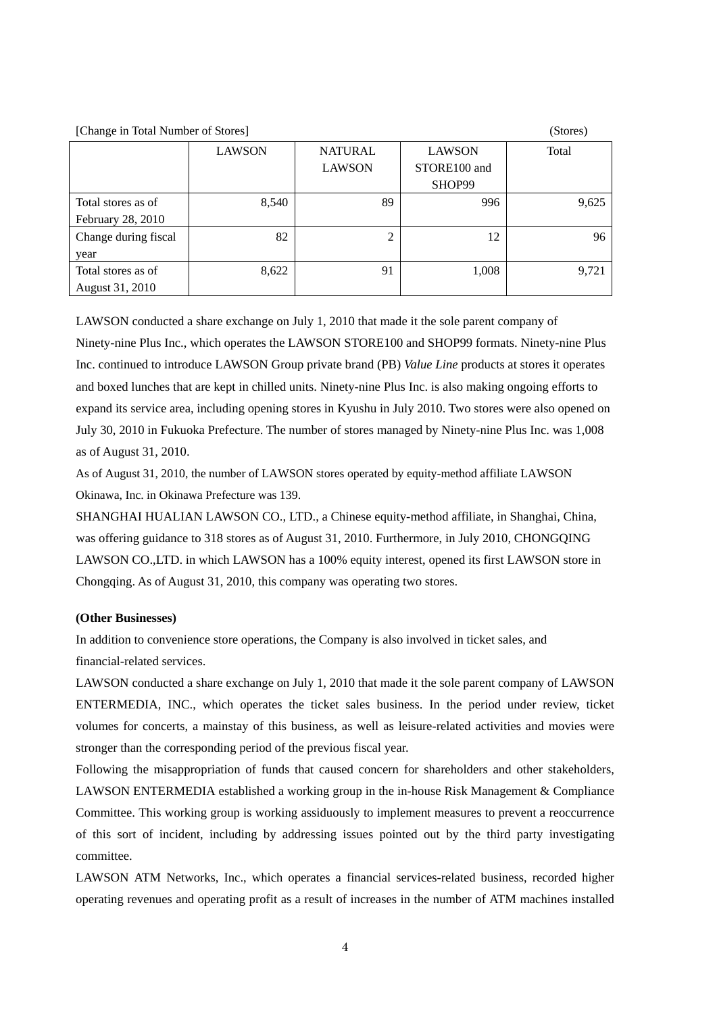4

 $[Chspace]$  in Total Number of Stores)

| $\lceil$ Change in Total Ivaniber of Blores | $\omega\omega\omega$ |                |               |       |
|---------------------------------------------|----------------------|----------------|---------------|-------|
|                                             | <b>LAWSON</b>        | <b>NATURAL</b> | <b>LAWSON</b> | Total |
|                                             |                      | <b>LAWSON</b>  | STORE100 and  |       |
|                                             |                      |                | SHOP99        |       |
| Total stores as of                          | 8,540                | 89             | 996           | 9,625 |
| February 28, 2010                           |                      |                |               |       |
| Change during fiscal                        | 82                   | 2              | 12            | 96    |
| year                                        |                      |                |               |       |
| Total stores as of                          | 8,622                | 91             | 1,008         | 9,721 |
| August 31, 2010                             |                      |                |               |       |

LAWSON conducted a share exchange on July 1, 2010 that made it the sole parent company of Ninety-nine Plus Inc., which operates the LAWSON STORE100 and SHOP99 formats. Ninety-nine Plus Inc. continued to introduce LAWSON Group private brand (PB) *Value Line* products at stores it operates and boxed lunches that are kept in chilled units. Ninety-nine Plus Inc. is also making ongoing efforts to expand its service area, including opening stores in Kyushu in July 2010. Two stores were also opened on July 30, 2010 in Fukuoka Prefecture. The number of stores managed by Ninety-nine Plus Inc. was 1,008 as of August 31, 2010.

As of August 31, 2010, the number of LAWSON stores operated by equity-method affiliate LAWSON Okinawa, Inc. in Okinawa Prefecture was 139.

SHANGHAI HUALIAN LAWSON CO., LTD., a Chinese equity-method affiliate, in Shanghai, China, was offering guidance to 318 stores as of August 31, 2010. Furthermore, in July 2010, CHONGQING LAWSON CO.,LTD. in which LAWSON has a 100% equity interest, opened its first LAWSON store in Chongqing. As of August 31, 2010, this company was operating two stores.

#### **(Other Businesses)**

In addition to convenience store operations, the Company is also involved in ticket sales, and financial-related services.

LAWSON conducted a share exchange on July 1, 2010 that made it the sole parent company of LAWSON ENTERMEDIA, INC., which operates the ticket sales business. In the period under review, ticket volumes for concerts, a mainstay of this business, as well as leisure-related activities and movies were stronger than the corresponding period of the previous fiscal year.

Following the misappropriation of funds that caused concern for shareholders and other stakeholders, LAWSON ENTERMEDIA established a working group in the in-house Risk Management & Compliance Committee. This working group is working assiduously to implement measures to prevent a reoccurrence of this sort of incident, including by addressing issues pointed out by the third party investigating committee.

LAWSON ATM Networks, Inc., which operates a financial services-related business, recorded higher operating revenues and operating profit as a result of increases in the number of ATM machines installed

|  | Stores |  |
|--|--------|--|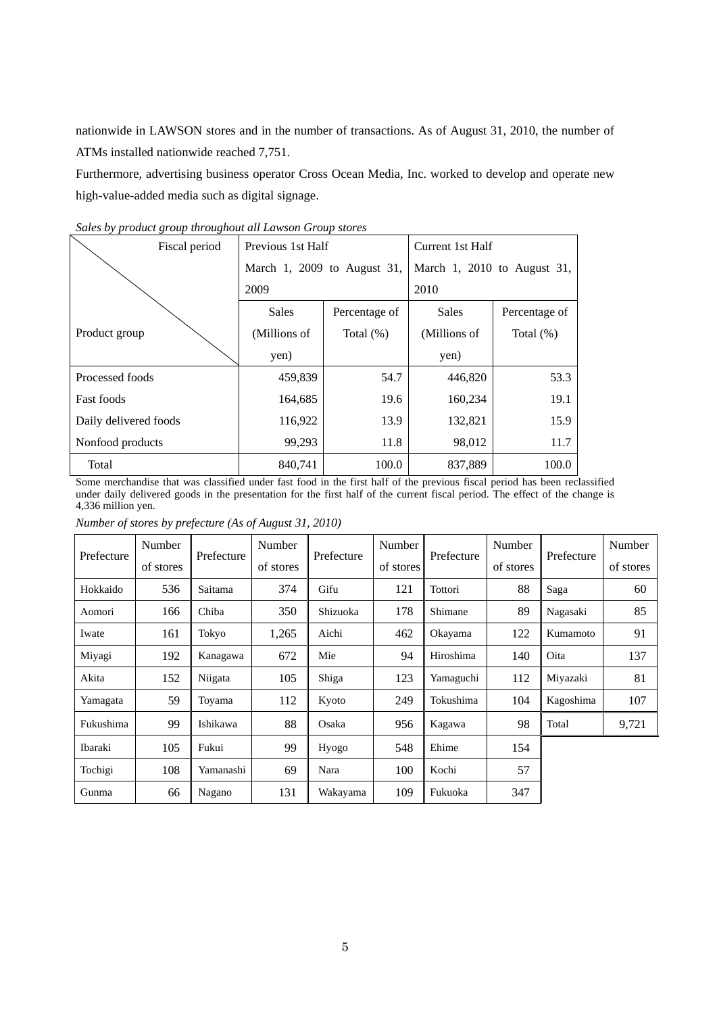nationwide in LAWSON stores and in the number of transactions. As of August 31, 2010, the number of ATMs installed nationwide reached 7,751.

Furthermore, advertising business operator Cross Ocean Media, Inc. worked to develop and operate new high-value-added media such as digital signage.

| Fiscal period         | Previous 1st Half           |               | Current 1st Half            |               |  |
|-----------------------|-----------------------------|---------------|-----------------------------|---------------|--|
|                       | March 1, 2009 to August 31, |               | March 1, 2010 to August 31, |               |  |
|                       | 2009                        |               | 2010                        |               |  |
|                       | <b>Sales</b>                | Percentage of | <b>Sales</b>                | Percentage of |  |
| Product group         | (Millions of                | Total $(\%)$  | (Millions of                | Total $(\%)$  |  |
|                       | yen)                        |               | yen)                        |               |  |
| Processed foods       | 459,839                     | 54.7          | 446,820                     | 53.3          |  |
| <b>Fast foods</b>     | 164,685                     | 19.6          | 160,234                     | 19.1          |  |
| Daily delivered foods | 116,922                     | 13.9          | 132,821                     | 15.9          |  |
| Nonfood products      | 99,293                      | 11.8          | 98,012                      | 11.7          |  |
| Total                 | 840.741                     | 100.0         | 837,889                     | 100.0         |  |

*Sales by product group throughout all Lawson Group stores* 

Some merchandise that was classified under fast food in the first half of the previous fiscal period has been reclassified under daily delivered goods in the presentation for the first half of the current fiscal period. The effect of the change is 4,336 million yen.

*Number of stores by prefecture (As of August 31, 2010)* 

|            | Number    |            | Number<br>Number | Number     |           | Number     |           |            |           |
|------------|-----------|------------|------------------|------------|-----------|------------|-----------|------------|-----------|
| Prefecture | of stores | Prefecture | of stores        | Prefecture | of stores | Prefecture | of stores | Prefecture | of stores |
| Hokkaido   | 536       | Saitama    | 374              | Gifu       | 121       | Tottori    | 88        | Saga       | 60        |
| Aomori     | 166       | Chiba      | 350              | Shizuoka   | 178       | Shimane    | 89        | Nagasaki   | 85        |
| Iwate      | 161       | Tokyo      | 1,265            | Aichi      | 462       | Okayama    | 122       | Kumamoto   | 91        |
| Miyagi     | 192       | Kanagawa   | 672              | Mie        | 94        | Hiroshima  | 140       | Oita       | 137       |
| Akita      | 152       | Niigata    | 105              | Shiga      | 123       | Yamaguchi  | 112       | Miyazaki   | 81        |
| Yamagata   | 59        | Toyama     | 112              | Kyoto      | 249       | Tokushima  | 104       | Kagoshima  | 107       |
| Fukushima  | 99        | Ishikawa   | 88               | Osaka      | 956       | Kagawa     | 98        | Total      | 9,721     |
| Ibaraki    | 105       | Fukui      | 99               | Hyogo      | 548       | Ehime      | 154       |            |           |
| Tochigi    | 108       | Yamanashi  | 69               | Nara       | 100       | Kochi      | 57        |            |           |
| Gunma      | 66        | Nagano     | 131              | Wakayama   | 109       | Fukuoka    | 347       |            |           |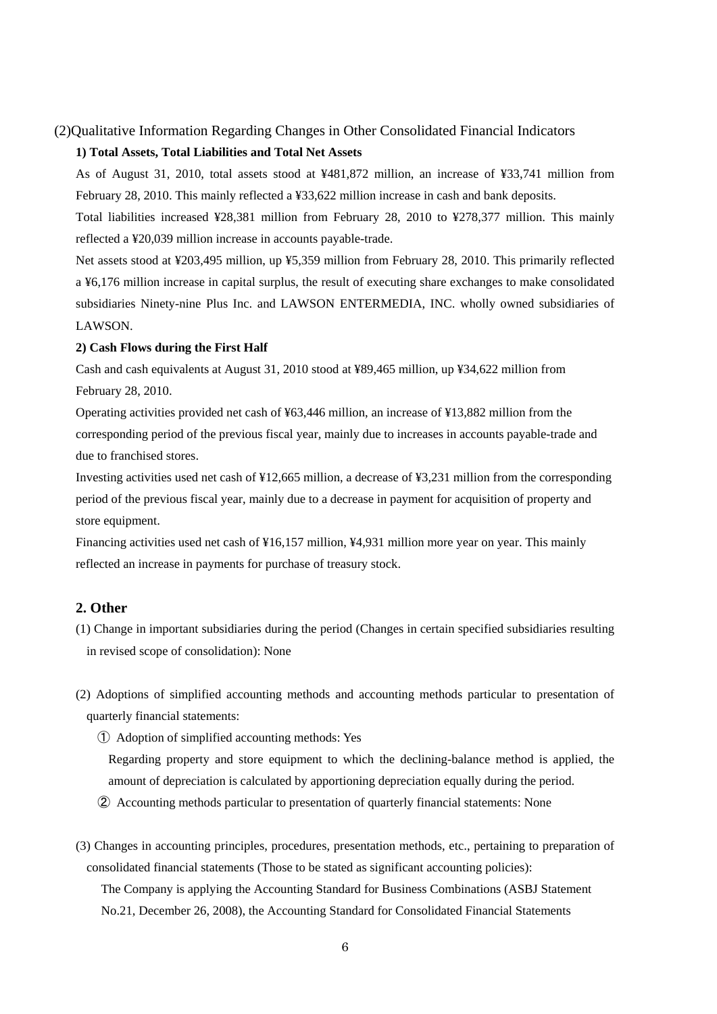# (2)Qualitative Information Regarding Changes in Other Consolidated Financial Indicators **1) Total Assets, Total Liabilities and Total Net Assets**

As of August 31, 2010, total assets stood at ¥481,872 million, an increase of ¥33,741 million from February 28, 2010. This mainly reflected a ¥33,622 million increase in cash and bank deposits.

Total liabilities increased ¥28,381 million from February 28, 2010 to ¥278,377 million. This mainly reflected a ¥20,039 million increase in accounts payable-trade.

Net assets stood at ¥203,495 million, up ¥5,359 million from February 28, 2010. This primarily reflected a ¥6,176 million increase in capital surplus, the result of executing share exchanges to make consolidated subsidiaries Ninety-nine Plus Inc. and LAWSON ENTERMEDIA, INC. wholly owned subsidiaries of LAWSON.

#### **2) Cash Flows during the First Half**

Cash and cash equivalents at August 31, 2010 stood at ¥89,465 million, up ¥34,622 million from February 28, 2010.

Operating activities provided net cash of ¥63,446 million, an increase of ¥13,882 million from the corresponding period of the previous fiscal year, mainly due to increases in accounts payable-trade and due to franchised stores.

Investing activities used net cash of ¥12,665 million, a decrease of ¥3,231 million from the corresponding period of the previous fiscal year, mainly due to a decrease in payment for acquisition of property and store equipment.

Financing activities used net cash of ¥16,157 million, ¥4,931 million more year on year. This mainly reflected an increase in payments for purchase of treasury stock.

#### **2. Other**

- (1) Change in important subsidiaries during the period (Changes in certain specified subsidiaries resulting in revised scope of consolidation): None
- (2) Adoptions of simplified accounting methods and accounting methods particular to presentation of quarterly financial statements:

① Adoption of simplified accounting methods: Yes

Regarding property and store equipment to which the declining-balance method is applied, the amount of depreciation is calculated by apportioning depreciation equally during the period.

② Accounting methods particular to presentation of quarterly financial statements: None

(3) Changes in accounting principles, procedures, presentation methods, etc., pertaining to preparation of consolidated financial statements (Those to be stated as significant accounting policies): The Company is applying the Accounting Standard for Business Combinations (ASBJ Statement No.21, December 26, 2008), the Accounting Standard for Consolidated Financial Statements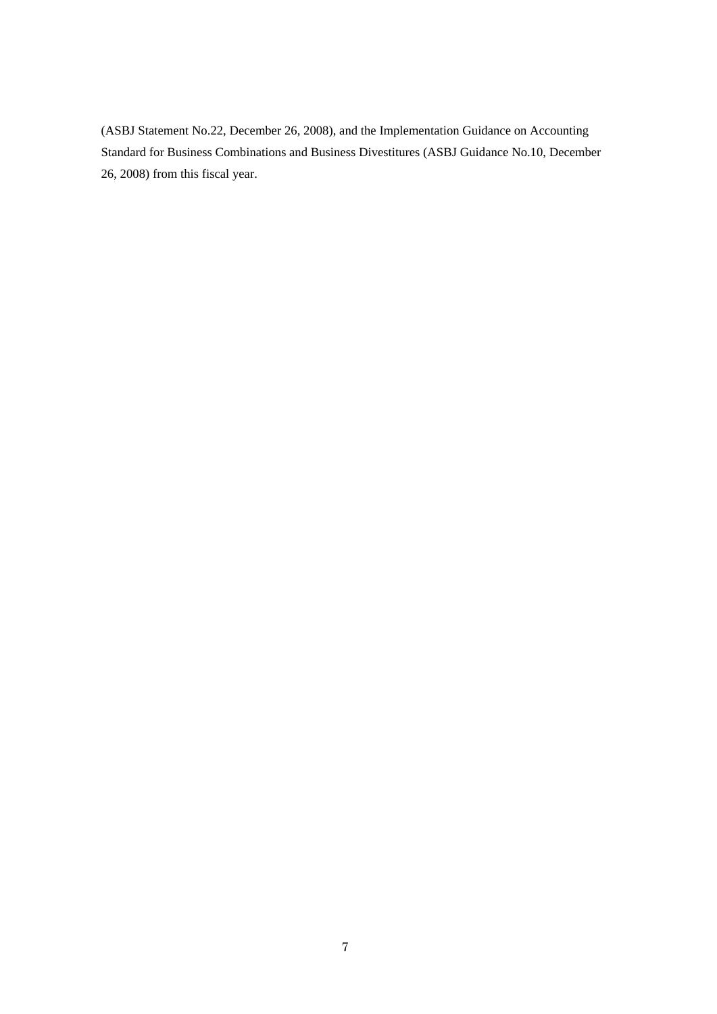(ASBJ Statement No.22, December 26, 2008), and the Implementation Guidance on Accounting Standard for Business Combinations and Business Divestitures (ASBJ Guidance No.10, December 26, 2008) from this fiscal year.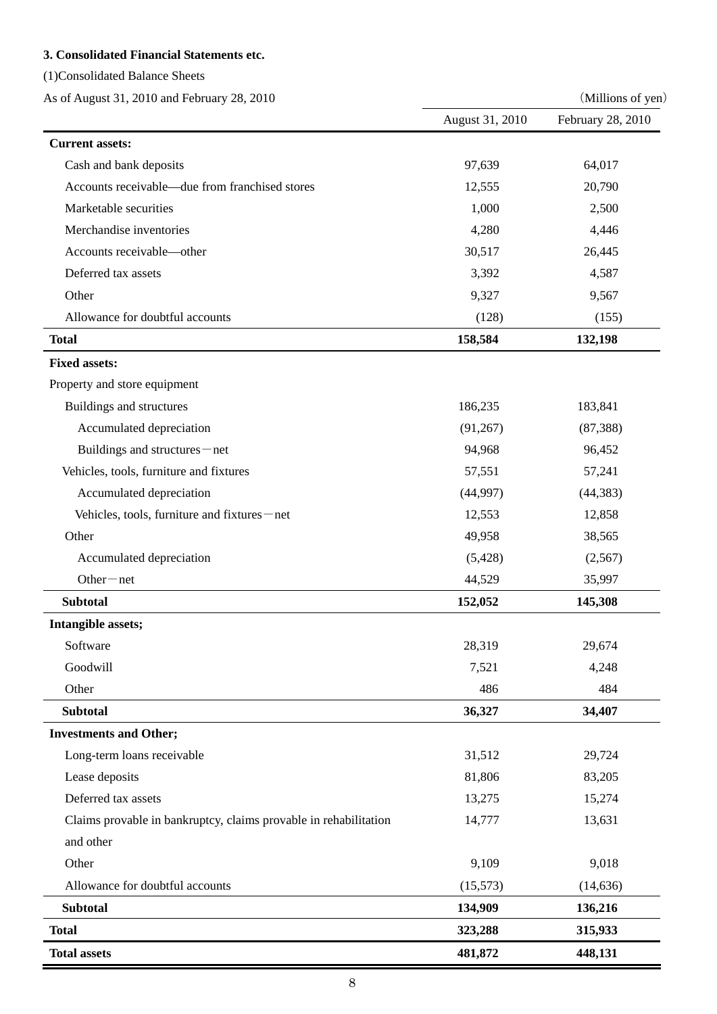### **3. Consolidated Financial Statements etc.**

(1)Consolidated Balance Sheets

As of August 31, 2010 and February 28, 2010 (Millions of yen)

|                                                                  | August 31, 2010 | February 28, 2010 |
|------------------------------------------------------------------|-----------------|-------------------|
| <b>Current assets:</b>                                           |                 |                   |
| Cash and bank deposits                                           | 97,639          | 64,017            |
| Accounts receivable—due from franchised stores                   | 12,555          | 20,790            |
| Marketable securities                                            | 1,000           | 2,500             |
| Merchandise inventories                                          | 4,280           | 4,446             |
| Accounts receivable-other                                        | 30,517          | 26,445            |
| Deferred tax assets                                              | 3,392           | 4,587             |
| Other                                                            | 9,327           | 9,567             |
| Allowance for doubtful accounts                                  | (128)           | (155)             |
| <b>Total</b>                                                     | 158,584         | 132,198           |
| <b>Fixed assets:</b>                                             |                 |                   |
| Property and store equipment                                     |                 |                   |
| Buildings and structures                                         | 186,235         | 183,841           |
| Accumulated depreciation                                         | (91, 267)       | (87, 388)         |
| Buildings and structures-net                                     | 94,968          | 96,452            |
| Vehicles, tools, furniture and fixtures                          | 57,551          | 57,241            |
| Accumulated depreciation                                         | (44,997)        | (44, 383)         |
| Vehicles, tools, furniture and fixtures-net                      | 12,553          | 12,858            |
| Other                                                            | 49,958          | 38,565            |
| Accumulated depreciation                                         | (5, 428)        | (2,567)           |
| $Other-net$                                                      | 44,529          | 35,997            |
| <b>Subtotal</b>                                                  | 152,052         | 145,308           |
| Intangible assets;                                               |                 |                   |
| Software                                                         | 28,319          | 29,674            |
| Goodwill                                                         | 7,521           | 4,248             |
| Other                                                            | 486             | 484               |
| <b>Subtotal</b>                                                  | 36,327          | 34,407            |
| <b>Investments and Other;</b>                                    |                 |                   |
| Long-term loans receivable                                       | 31,512          | 29,724            |
| Lease deposits                                                   | 81,806          | 83,205            |
| Deferred tax assets                                              | 13,275          | 15,274            |
| Claims provable in bankruptcy, claims provable in rehabilitation | 14,777          | 13,631            |
| and other                                                        |                 |                   |
| Other                                                            | 9,109           | 9,018             |
| Allowance for doubtful accounts                                  | (15, 573)       | (14, 636)         |
| <b>Subtotal</b>                                                  | 134,909         | 136,216           |
| <b>Total</b>                                                     | 323,288         | 315,933           |
| <b>Total assets</b>                                              | 481,872         | 448,131           |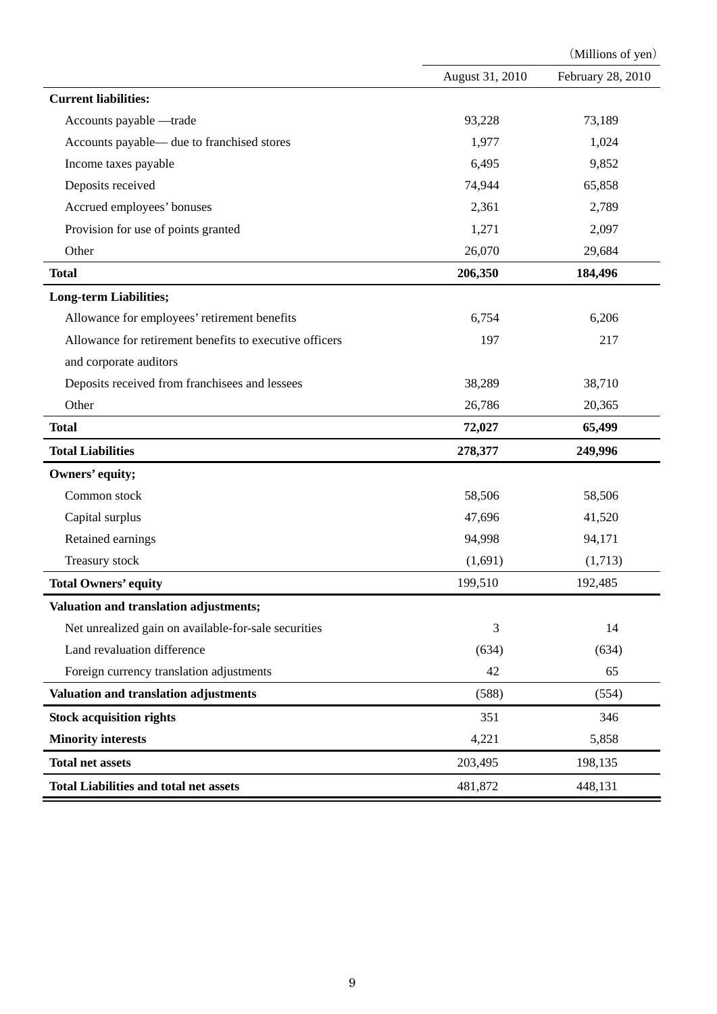|                                                         |                 | (Millions of yen) |
|---------------------------------------------------------|-----------------|-------------------|
|                                                         | August 31, 2010 | February 28, 2010 |
| <b>Current liabilities:</b>                             |                 |                   |
| Accounts payable -trade                                 | 93,228          | 73,189            |
| Accounts payable— due to franchised stores              | 1,977           | 1,024             |
| Income taxes payable                                    | 6,495           | 9,852             |
| Deposits received                                       | 74,944          | 65,858            |
| Accrued employees' bonuses                              | 2,361           | 2,789             |
| Provision for use of points granted                     | 1,271           | 2,097             |
| Other                                                   | 26,070          | 29,684            |
| <b>Total</b>                                            | 206,350         | 184,496           |
| <b>Long-term Liabilities;</b>                           |                 |                   |
| Allowance for employees' retirement benefits            | 6,754           | 6,206             |
| Allowance for retirement benefits to executive officers | 197             | 217               |
| and corporate auditors                                  |                 |                   |
| Deposits received from franchisees and lessees          | 38,289          | 38,710            |
| Other                                                   | 26,786          | 20,365            |
| <b>Total</b>                                            | 72,027          | 65,499            |
| <b>Total Liabilities</b>                                | 278,377         | 249,996           |
| Owners' equity;                                         |                 |                   |
| Common stock                                            | 58,506          | 58,506            |
| Capital surplus                                         | 47,696          | 41,520            |
| Retained earnings                                       | 94,998          | 94,171            |
| Treasury stock                                          | (1,691)         | (1,713)           |
| <b>Total Owners' equity</b>                             | 199,510         | 192,485           |
| Valuation and translation adjustments;                  |                 |                   |
| Net unrealized gain on available-for-sale securities    | 3               | 14                |
| Land revaluation difference                             | (634)           | (634)             |
| Foreign currency translation adjustments                | 42              | 65                |
| Valuation and translation adjustments                   | (588)           | (554)             |
| <b>Stock acquisition rights</b>                         | 351             | 346               |
| <b>Minority interests</b>                               | 4,221           | 5,858             |
| <b>Total net assets</b>                                 | 203,495         | 198,135           |
| <b>Total Liabilities and total net assets</b>           | 481,872         | 448,131           |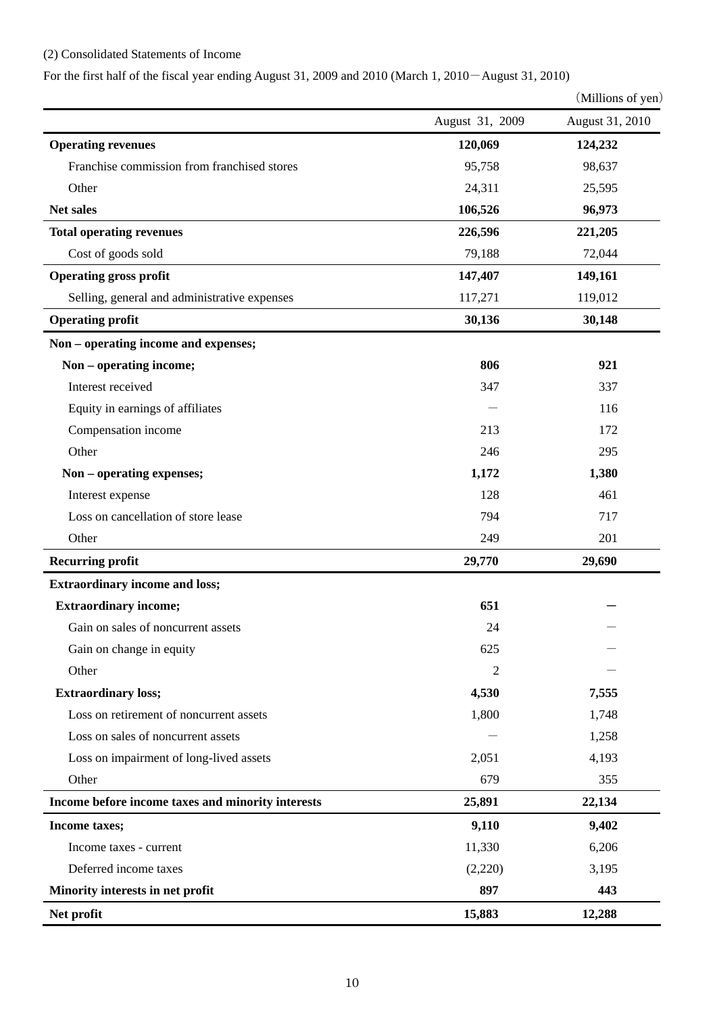### (2) Consolidated Statements of Income

For the first half of the fiscal year ending August 31, 2009 and 2010 (March 1, 2010-August 31, 2010)

|                                              |                 | (Millions of yen) |
|----------------------------------------------|-----------------|-------------------|
|                                              | August 31, 2009 | August 31, 2010   |
| <b>Operating revenues</b>                    | 120,069         | 124,232           |
| Franchise commission from franchised stores  | 95,758          | 98,637            |
| Other                                        | 24,311          | 25,595            |
| Net sales                                    | 106,526         | 96,973            |
| <b>Total operating revenues</b>              | 226,596         | 221,205           |
| Cost of goods sold                           | 79,188          | 72,044            |
| <b>Operating gross profit</b>                | 147,407         | 149,161           |
| Selling, general and administrative expenses | 117,271         | 119,012           |
| <b>Operating profit</b>                      | 30,136          | 30,148            |
| Non - operating income and expenses;         |                 |                   |
| Non - operating income;                      | 806             | 921               |
| Interest received                            | 347             | 337               |
| Equity in earnings of affiliates             |                 | 116               |
| Compensation income                          | 213             | 172               |
| Other                                        | 246             | 295               |
| Non - operating expenses;                    | 1,172           | 1,380             |
| Interest expense                             | 128             | 461               |
| Loss on cancellation of store lease          | 794             | 717               |
| Other                                        | 249             | 201               |
| <b>Recurring profit</b>                      | 29,770          | 29,690            |
| <b>Extraordinary income and loss;</b>        |                 |                   |
| <b>Extraordinary income;</b>                 | 651             |                   |
| Gain on sales of noncurrent assets           | 24              |                   |
| Gain on change in equity                     | 625             |                   |
| Other                                        | 2               |                   |
| <b>Extraordinary loss;</b>                   | 4,530           | 7,555             |
| Loss on retirement of noncurrent assets      | 1,800           | 1,748             |
| Loss on sales of noncurrent assets           |                 | 1,258             |

| Net profit                                        | 15,883  | 12,288 |
|---------------------------------------------------|---------|--------|
| Minority interests in net profit                  | 897     | 443    |
| Deferred income taxes                             | (2,220) | 3,195  |
| Income taxes - current                            | 11,330  | 6,206  |
| <b>Income taxes;</b>                              | 9,110   | 9,402  |
| Income before income taxes and minority interests | 25,891  | 22,134 |
| Other                                             | 679     | 355    |
| Loss on impairment of long-lived assets           | 2,051   | 4,193  |
| Loss on sales of noncurrent assets                |         | 1,258  |
| Loss on retirement of noncurrent assets           | 1,800   | 1,748  |
|                                                   |         |        |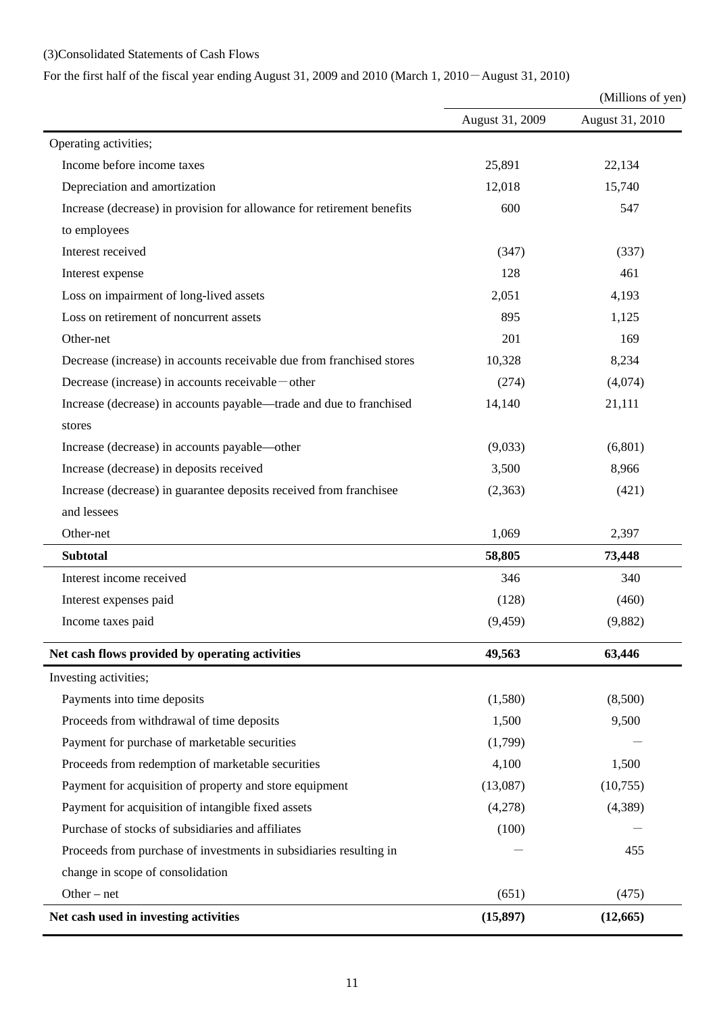# (3)Consolidated Statements of Cash Flows

# For the first half of the fiscal year ending August 31, 2009 and 2010 (March 1, 2010-August 31, 2010)

|                                                                        |                 | (Millions of yen) |  |
|------------------------------------------------------------------------|-----------------|-------------------|--|
|                                                                        | August 31, 2009 | August 31, 2010   |  |
| Operating activities;                                                  |                 |                   |  |
| Income before income taxes                                             | 25,891          | 22,134            |  |
| Depreciation and amortization                                          | 12,018          | 15,740            |  |
| Increase (decrease) in provision for allowance for retirement benefits | 600             | 547               |  |
| to employees                                                           |                 |                   |  |
| Interest received                                                      | (347)           | (337)             |  |
| Interest expense                                                       | 128             | 461               |  |
| Loss on impairment of long-lived assets                                | 2,051           | 4,193             |  |
| Loss on retirement of noncurrent assets                                | 895             | 1,125             |  |
| Other-net                                                              | 201             | 169               |  |
| Decrease (increase) in accounts receivable due from franchised stores  | 10,328          | 8,234             |  |
| Decrease (increase) in accounts receivable — other                     | (274)           | (4,074)           |  |
| Increase (decrease) in accounts payable—trade and due to franchised    | 14,140          | 21,111            |  |
| stores                                                                 |                 |                   |  |
| Increase (decrease) in accounts payable—other                          | (9,033)         | (6,801)           |  |
| Increase (decrease) in deposits received                               | 3,500           | 8,966             |  |
| Increase (decrease) in guarantee deposits received from franchisee     | (2,363)         | (421)             |  |
| and lessees                                                            |                 |                   |  |
| Other-net                                                              | 1,069           | 2,397             |  |
| <b>Subtotal</b>                                                        | 58,805          | 73,448            |  |
| Interest income received                                               | 346             | 340               |  |
| Interest expenses paid                                                 | (128)           | (460)             |  |
| Income taxes paid                                                      | (9, 459)        | (9,882)           |  |
| Net cash flows provided by operating activities                        | 49,563          | 63,446            |  |
| Investing activities;                                                  |                 |                   |  |
| Payments into time deposits                                            | (1,580)         | (8,500)           |  |
| Proceeds from withdrawal of time deposits                              | 1,500           | 9,500             |  |
| Payment for purchase of marketable securities                          | (1,799)         |                   |  |
| Proceeds from redemption of marketable securities                      | 4,100           | 1,500             |  |
| Payment for acquisition of property and store equipment                | (13,087)        | (10,755)          |  |
| Payment for acquisition of intangible fixed assets                     | (4,278)         | (4,389)           |  |
| Purchase of stocks of subsidiaries and affiliates                      | (100)           |                   |  |
| Proceeds from purchase of investments in subsidiaries resulting in     |                 | 455               |  |
| change in scope of consolidation                                       |                 |                   |  |
| Other $-$ net                                                          | (651)           | (475)             |  |
| Net cash used in investing activities                                  | (15, 897)       | (12, 665)         |  |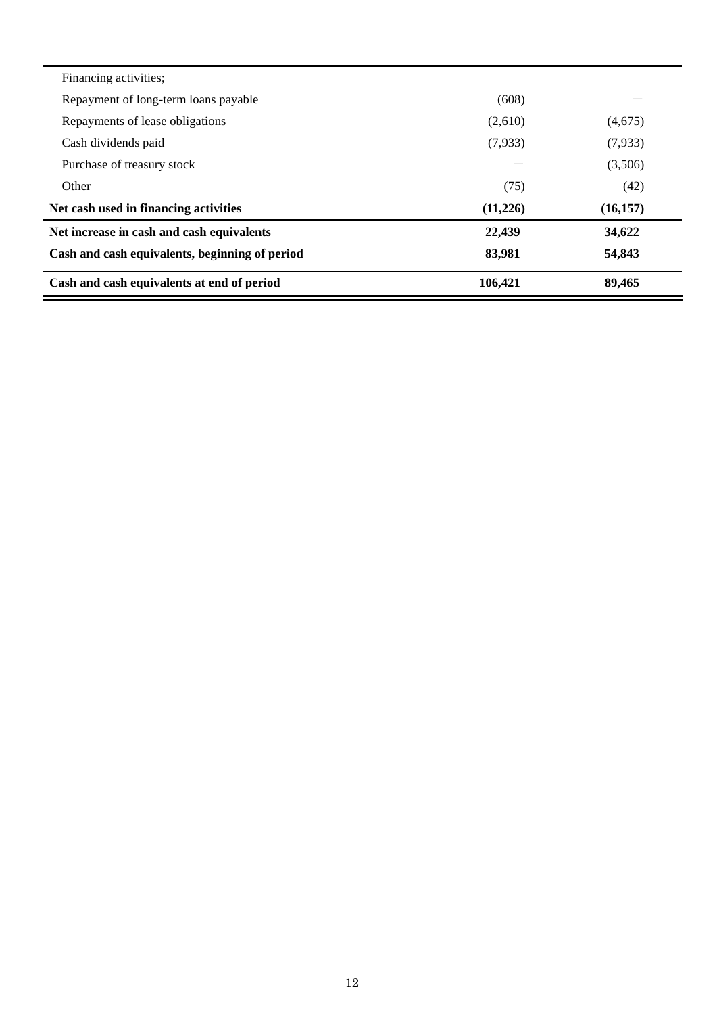| Financing activities;                          |          |           |
|------------------------------------------------|----------|-----------|
| Repayment of long-term loans payable           | (608)    |           |
| Repayments of lease obligations                | (2,610)  | (4,675)   |
| Cash dividends paid                            | (7,933)  | (7,933)   |
| Purchase of treasury stock                     |          | (3,506)   |
| Other                                          | (75)     | (42)      |
| Net cash used in financing activities          | (11,226) | (16, 157) |
| Net increase in cash and cash equivalents      | 22,439   | 34,622    |
| Cash and cash equivalents, beginning of period | 83,981   | 54,843    |
| Cash and cash equivalents at end of period     | 106,421  | 89,465    |